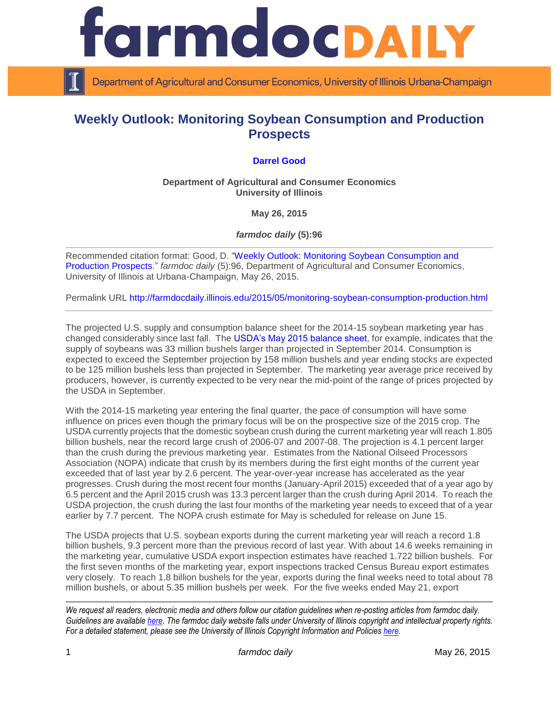

Department of Agricultural and Consumer Economics, University of Illinois Urbana-Champaign

## **Weekly Outlook: Monitoring Soybean Consumption and Production Prospects**

## **[Darrel Good](http://farmdoc.illinois.edu/good)**

**Department of Agricultural and Consumer Economics University of Illinois**

**May 26, 2015**

*farmdoc daily* **(5):96**

Recommended citation format: Good, D. ["Weekly Outlook: Monitoring Soybean Consumption and](http://farmdocdaily.illinois.edu/2015/05/monitoring-soybean-consumption-production.html)  [Production Prospects.](http://farmdocdaily.illinois.edu/2015/05/monitoring-soybean-consumption-production.html)" *farmdoc daily* (5):96, Department of Agricultural and Consumer Economics, University of Illinois at Urbana-Champaign, May 26, 2015.

Permalink URL<http://farmdocdaily.illinois.edu/2015/05/monitoring-soybean-consumption-production.html>

The projected U.S. supply and consumption balance sheet for the 2014-15 soybean marketing year has changed considerably since last fall. The [USDA's May 2015 balance sheet,](http://usda.mannlib.cornell.edu/usda/waob/wasde/2010s/2015/wasde-05-12-2015.pdf) for example, indicates that the supply of soybeans was 33 million bushels larger than projected in September 2014. Consumption is expected to exceed the September projection by 158 million bushels and year ending stocks are expected to be 125 million bushels less than projected in September. The marketing year average price received by producers, however, is currently expected to be very near the mid-point of the range of prices projected by the USDA in September.

With the 2014-15 marketing year entering the final quarter, the pace of consumption will have some influence on prices even though the primary focus will be on the prospective size of the 2015 crop. The USDA currently projects that the domestic soybean crush during the current marketing year will reach 1.805 billion bushels, near the record large crush of 2006-07 and 2007-08. The projection is 4.1 percent larger than the crush during the previous marketing year. Estimates from the National Oilseed Processors Association (NOPA) indicate that crush by its members during the first eight months of the current year exceeded that of last year by 2.6 percent. The year-over-year increase has accelerated as the year progresses. Crush during the most recent four months (January-April 2015) exceeded that of a year ago by 6.5 percent and the April 2015 crush was 13.3 percent larger than the crush during April 2014. To reach the USDA projection, the crush during the last four months of the marketing year needs to exceed that of a year earlier by 7.7 percent. The NOPA crush estimate for May is scheduled for release on June 15.

The USDA projects that U.S. soybean exports during the current marketing year will reach a record 1.8 billion bushels, 9.3 percent more than the previous record of last year. With about 14.6 weeks remaining in the marketing year, cumulative USDA export inspection estimates have reached 1.722 billion bushels. For the first seven months of the marketing year, export inspections tracked Census Bureau export estimates very closely. To reach 1.8 billion bushels for the year, exports during the final weeks need to total about 78 million bushels, or about 5.35 million bushels per week. For the five weeks ended May 21, export

*We request all readers, electronic media and others follow our citation guidelines when re-posting articles from farmdoc daily. Guidelines are available [here.](http://farmdocdaily.illinois.edu/citationguide.html) The farmdoc daily website falls under University of Illinois copyright and intellectual property rights. For a detailed statement, please see the University of Illinois Copyright Information and Policies [here.](http://www.cio.illinois.edu/policies/copyright/)*